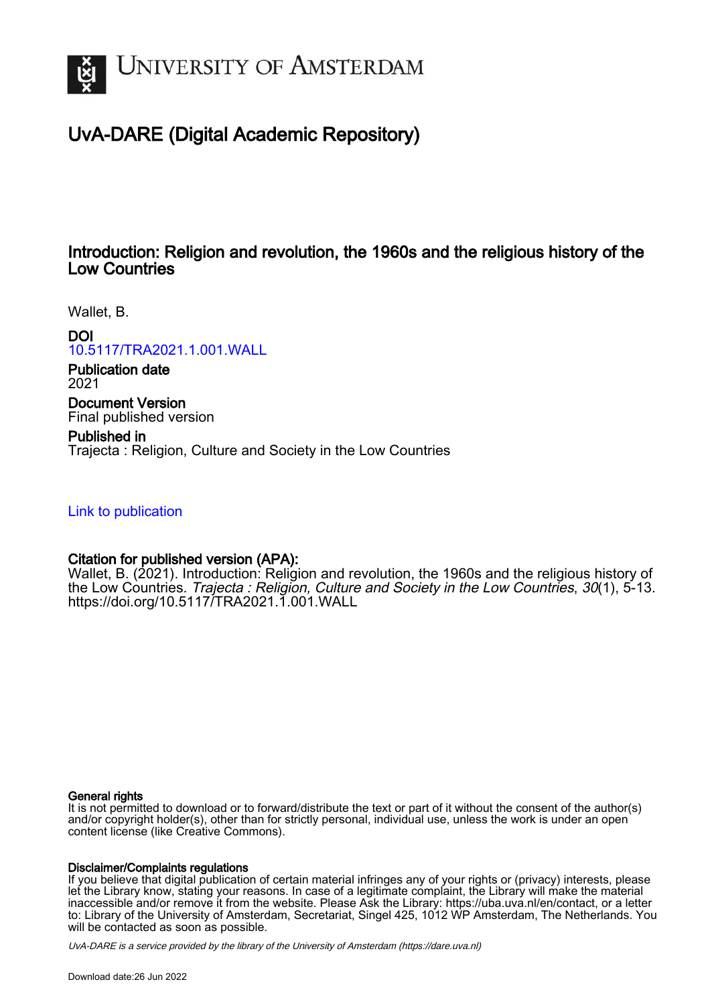

# UvA-DARE (Digital Academic Repository)

# Introduction: Religion and revolution, the 1960s and the religious history of the Low Countries

Wallet, B.

DOI

[10.5117/TRA2021.1.001.WALL](https://doi.org/10.5117/TRA2021.1.001.WALL)

Publication date 2021

Document Version Final published version

Published in Trajecta : Religion, Culture and Society in the Low Countries

[Link to publication](https://dare.uva.nl/personal/pure/en/publications/introduction-religion-and-revolution-the-1960s-and-the-religious-history-of-the-low-countries(ccb7ef7e-4c3f-489d-a9d3-9012cf963d7a).html)

## Citation for published version (APA):

Wallet, B. (2021). Introduction: Religion and revolution, the 1960s and the religious history of the Low Countries. Trajecta : Religion, Culture and Society in the Low Countries, 30(1), 5-13. <https://doi.org/10.5117/TRA2021.1.001.WALL>

#### General rights

It is not permitted to download or to forward/distribute the text or part of it without the consent of the author(s) and/or copyright holder(s), other than for strictly personal, individual use, unless the work is under an open content license (like Creative Commons).

#### Disclaimer/Complaints regulations

If you believe that digital publication of certain material infringes any of your rights or (privacy) interests, please let the Library know, stating your reasons. In case of a legitimate complaint, the Library will make the material inaccessible and/or remove it from the website. Please Ask the Library: https://uba.uva.nl/en/contact, or a letter to: Library of the University of Amsterdam, Secretariat, Singel 425, 1012 WP Amsterdam, The Netherlands. You will be contacted as soon as possible.

UvA-DARE is a service provided by the library of the University of Amsterdam (http*s*://dare.uva.nl)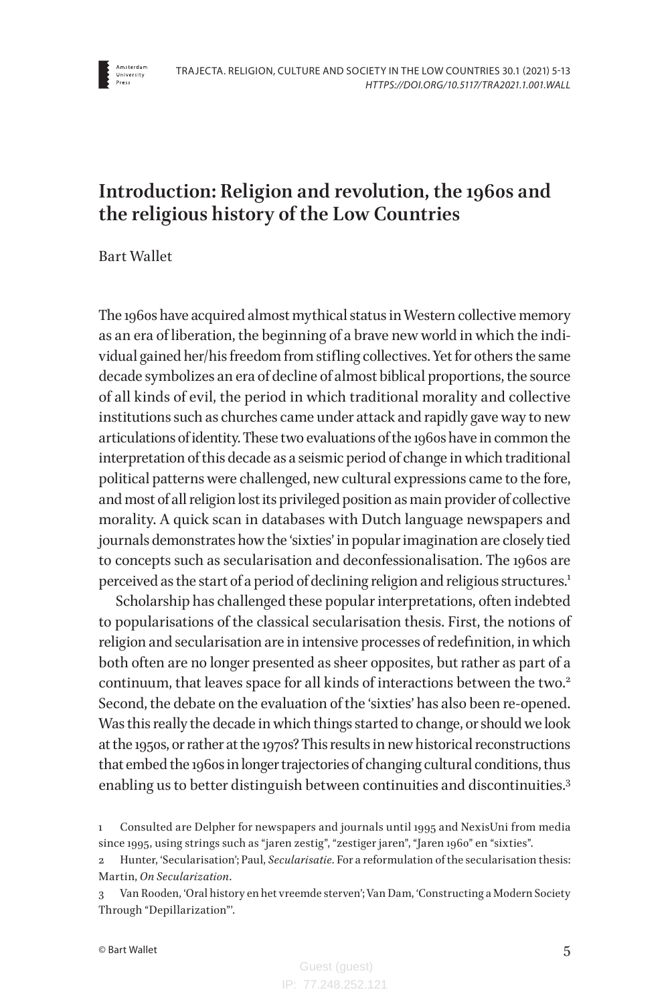

# **Introduction: Religion and revolution, the 1960s and the religious history of the Low Countries**

Bart Wallet

The 1960s have acquired almost mythical status in Western collective memory as an era of liberation, the beginning of a brave new world in which the individual gained her/his freedom from stifling collectives. Yet for others the same decade symbolizes an era of decline of almost biblical proportions, the source of all kinds of evil, the period in which traditional morality and collective institutions such as churches came under attack and rapidly gave way to new articulations of identity. These two evaluations of the 1960s have in common the interpretation of this decade as a seismic period of change in which traditional political patterns were challenged, new cultural expressions came to the fore, and most of all religion lost its privileged position as main provider of collective morality. A quick scan in databases with Dutch language newspapers and journals demonstrates how the 'sixties' in popular imagination are closely tied to concepts such as secularisation and deconfessionalisation. The 1960s are perceived as the start of a period of declining religion and religious structures.<sup>1</sup>

Scholarship has challenged these popular interpretations, often indebted to popularisations of the classical secularisation thesis. First, the notions of religion and secularisation are in intensive processes of redefinition, in which both often are no longer presented as sheer opposites, but rather as part of a continuum, that leaves space for all kinds of interactions between the two.<sup>2</sup> Second, the debate on the evaluation of the 'sixties' has also been re-opened. Was this really the decade in which things started to change, or should we look at the 1950s, or rather at the 1970s? This results in new historical reconstructions that embed the 1960s in longer trajectories of changing cultural conditions, thus enabling us to better distinguish between continuities and discontinuities.3

<sup>1</sup> Consulted are Delpher for newspapers and journals until 1995 and NexisUni from media since 1995, using strings such as "jaren zestig", "zestiger jaren", "Jaren 1960" en "sixties".

<sup>2</sup> Hunter, 'Secularisation'; Paul, *Secularisatie*. For a reformulation of the secularisation thesis: Martin, *On Secularization*.

<sup>3</sup> Van Rooden, 'Oral history en het vreemde sterven'; Van Dam, 'Constructing a Modern Society Through "Depillarization"'.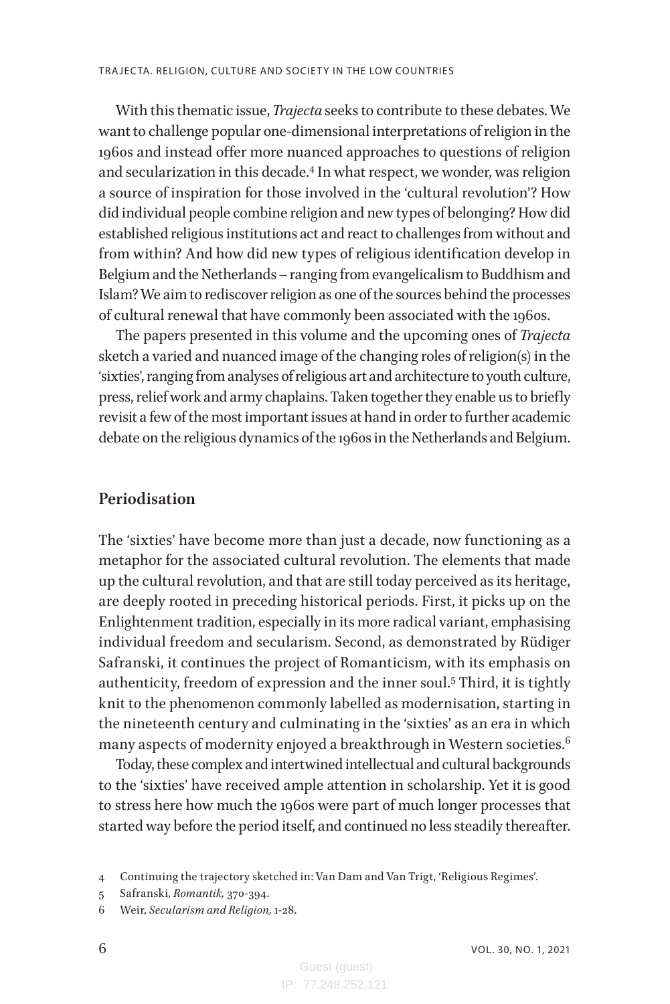With this thematic issue, *Trajecta* seeks to contribute to these debates. We want to challenge popular one-dimensional interpretations of religion in the 1960s and instead offer more nuanced approaches to questions of religion and secularization in this decade.4 In what respect, we wonder, was religion a source of inspiration for those involved in the 'cultural revolution'? How did individual people combine religion and new types of belonging? How did established religious institutions act and react to challenges from without and from within? And how did new types of religious identification develop in Belgium and the Netherlands – ranging from evangelicalism to Buddhism and Islam? We aim to rediscover religion as one of the sources behind the processes of cultural renewal that have commonly been associated with the 1960s.

The papers presented in this volume and the upcoming ones of *Trajecta*  sketch a varied and nuanced image of the changing roles of religion(s) in the 'sixties', ranging from analyses of religious art and architecture to youth culture, press, relief work and army chaplains. Taken together they enable us to briefly revisit a few of the most important issues at hand in order to further academic debate on the religious dynamics of the 1960s in the Netherlands and Belgium.

#### **Periodisation**

The 'sixties' have become more than just a decade, now functioning as a metaphor for the associated cultural revolution. The elements that made up the cultural revolution, and that are still today perceived as its heritage, are deeply rooted in preceding historical periods. First, it picks up on the Enlightenment tradition, especially in its more radical variant, emphasising individual freedom and secularism. Second, as demonstrated by Rüdiger Safranski, it continues the project of Romanticism, with its emphasis on authenticity, freedom of expression and the inner soul.5 Third, it is tightly knit to the phenomenon commonly labelled as modernisation, starting in the nineteenth century and culminating in the 'sixties' as an era in which many aspects of modernity enjoyed a breakthrough in Western societies.<sup>6</sup>

Today, these complex and intertwined intellectual and cultural backgrounds to the 'sixties' have received ample attention in scholarship. Yet it is good to stress here how much the 1960s were part of much longer processes that started way before the period itself, and continued no less steadily thereafter.

<sup>4</sup> Continuing the trajectory sketched in: Van Dam and Van Trigt, 'Religious Regimes'.

<sup>5</sup> Safranski, *Romantik,* 370-394.

<sup>6</sup> Weir, *Secularism and Religion,* 1-28.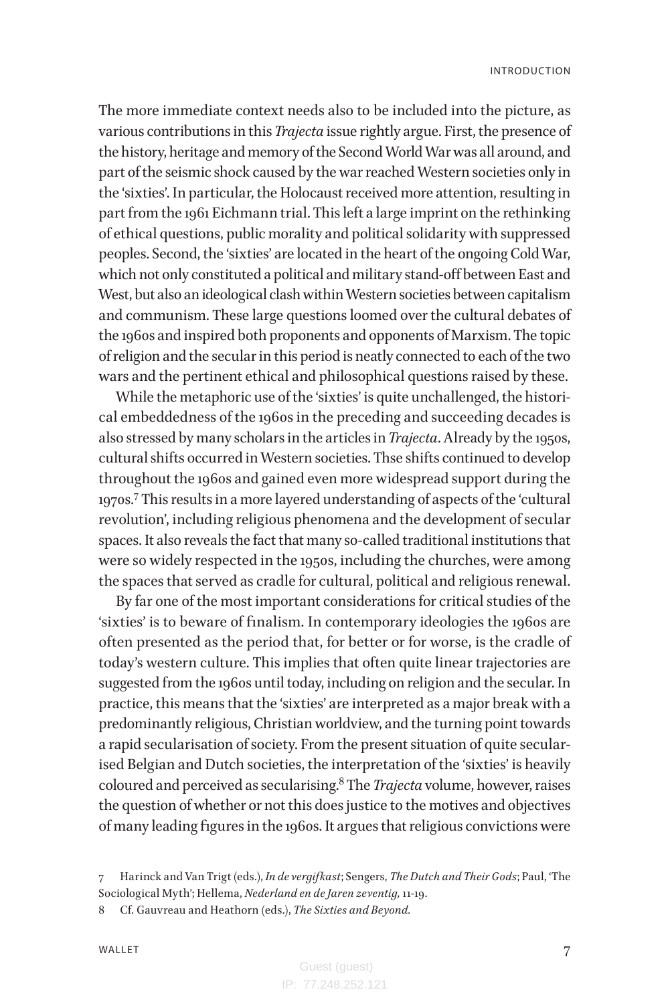The more immediate context needs also to be included into the picture, as various contributions in this *Trajecta* issue rightly argue. First, the presence of the history, heritage and memory of the Second World War was all around, and part of the seismic shock caused by the war reached Western societies only in the 'sixties'. In particular, the Holocaust received more attention, resulting in part from the 1961 Eichmann trial. This left a large imprint on the rethinking of ethical questions, public morality and political solidarity with suppressed peoples. Second, the 'sixties' are located in the heart of the ongoing Cold War, which not only constituted a political and military stand-off between East and West, but also an ideological clash within Western societies between capitalism and communism. These large questions loomed over the cultural debates of the 1960s and inspired both proponents and opponents of Marxism. The topic of religion and the secular in this period is neatly connected to each of the two wars and the pertinent ethical and philosophical questions raised by these.

While the metaphoric use of the 'sixties' is quite unchallenged, the historical embeddedness of the 1960s in the preceding and succeeding decades is also stressed by many scholars in the articles in *Trajecta*. Already by the 1950s, cultural shifts occurred in Western societies. Thse shifts continued to develop throughout the 1960s and gained even more widespread support during the 1970s.7 This results in a more layered understanding of aspects of the 'cultural revolution', including religious phenomena and the development of secular spaces. It also reveals the fact that many so-called traditional institutions that were so widely respected in the 1950s, including the churches, were among the spaces that served as cradle for cultural, political and religious renewal.

By far one of the most important considerations for critical studies of the 'sixties' is to beware of finalism. In contemporary ideologies the 1960s are often presented as the period that, for better or for worse, is the cradle of today's western culture. This implies that often quite linear trajectories are suggested from the 1960s until today, including on religion and the secular. In practice, this means that the 'sixties' are interpreted as a major break with a predominantly religious, Christian worldview, and the turning point towards a rapid secularisation of society. From the present situation of quite secularised Belgian and Dutch societies, the interpretation of the 'sixties' is heavily coloured and perceived as secularising.8 The *Trajecta* volume, however, raises the question of whether or not this does justice to the motives and objectives of many leading figures in the 1960s. It argues that religious convictions were

<sup>7</sup> Harinck and Van Trigt (eds.), *In de vergifkast*; Sengers, *The Dutch and Their Gods*; Paul, 'The Sociological Myth'; Hellema, *Nederland en de Jaren zeventig,* 11-19.

<sup>8</sup> Cf. Gauvreau and Heathorn (eds.), *The Sixties and Beyond.*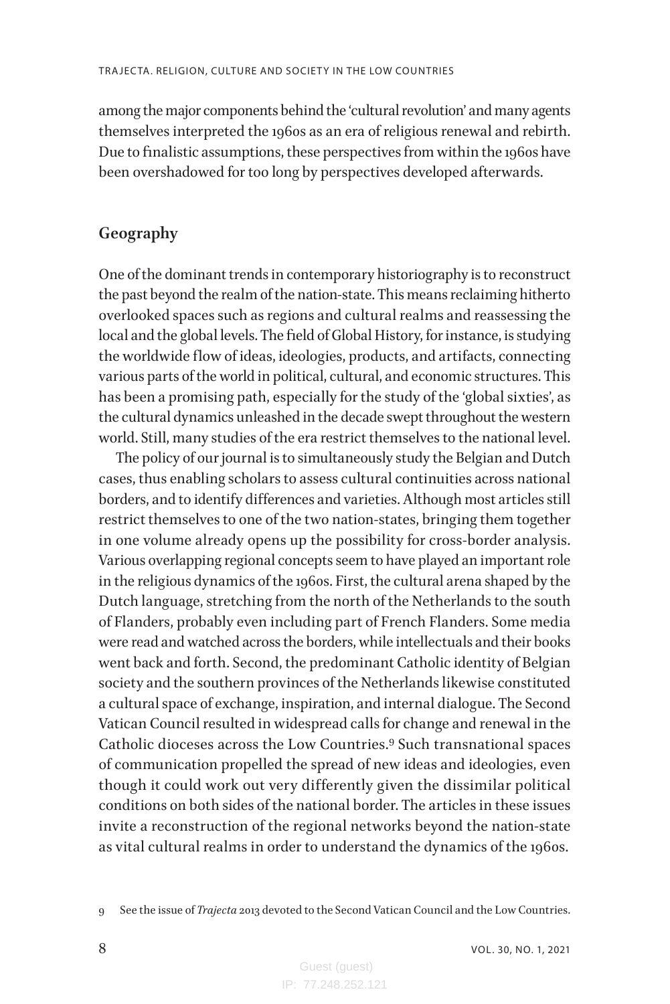among the major components behind the 'cultural revolution' and many agents themselves interpreted the 1960s as an era of religious renewal and rebirth. Due to finalistic assumptions, these perspectives from within the 1960s have been overshadowed for too long by perspectives developed afterwards.

### **Geography**

One of the dominant trends in contemporary historiography is to reconstruct the past beyond the realm of the nation-state. This means reclaiming hitherto overlooked spaces such as regions and cultural realms and reassessing the local and the global levels. The field of Global History, for instance, is studying the worldwide flow of ideas, ideologies, products, and artifacts, connecting various parts of the world in political, cultural, and economic structures. This has been a promising path, especially for the study of the 'global sixties', as the cultural dynamics unleashed in the decade swept throughout the western world. Still, many studies of the era restrict themselves to the national level.

The policy of our journal is to simultaneously study the Belgian and Dutch cases, thus enabling scholars to assess cultural continuities across national borders, and to identify differences and varieties. Although most articles still restrict themselves to one of the two nation-states, bringing them together in one volume already opens up the possibility for cross-border analysis. Various overlapping regional concepts seem to have played an important role in the religious dynamics of the 1960s. First, the cultural arena shaped by the Dutch language, stretching from the north of the Netherlands to the south of Flanders, probably even including part of French Flanders. Some media were read and watched across the borders, while intellectuals and their books went back and forth. Second, the predominant Catholic identity of Belgian society and the southern provinces of the Netherlands likewise constituted a cultural space of exchange, inspiration, and internal dialogue. The Second Vatican Council resulted in widespread calls for change and renewal in the Catholic dioceses across the Low Countries.<sup>9</sup> Such transnational spaces of communication propelled the spread of new ideas and ideologies, even though it could work out very differently given the dissimilar political conditions on both sides of the national border. The articles in these issues invite a reconstruction of the regional networks beyond the nation-state as vital cultural realms in order to understand the dynamics of the 1960s.

9 See the issue of *Trajecta* 2013 devoted to the Second Vatican Council and the Low Countries.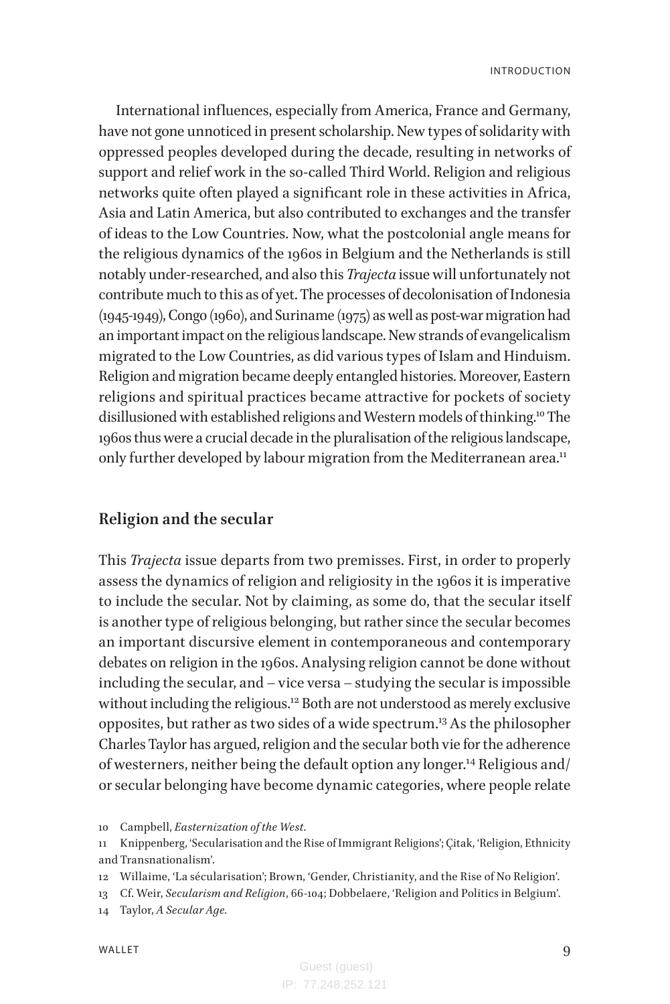INTRODUCTION

International influences, especially from America, France and Germany, have not gone unnoticed in present scholarship. New types of solidarity with oppressed peoples developed during the decade, resulting in networks of support and relief work in the so-called Third World. Religion and religious networks quite often played a significant role in these activities in Africa, Asia and Latin America, but also contributed to exchanges and the transfer of ideas to the Low Countries. Now, what the postcolonial angle means for the religious dynamics of the 1960s in Belgium and the Netherlands is still notably under-researched, and also this *Trajecta* issue will unfortunately not contribute much to this as of yet. The processes of decolonisation of Indonesia (1945-1949), Congo (1960), and Suriname (1975) as well as post-war migration had an important impact on the religious landscape. New strands of evangelicalism migrated to the Low Countries, as did various types of Islam and Hinduism. Religion and migration became deeply entangled histories. Moreover, Eastern religions and spiritual practices became attractive for pockets of society disillusioned with established religions and Western models of thinking.10 The 1960s thus were a crucial decade in the pluralisation of the religious landscape, only further developed by labour migration from the Mediterranean area.<sup>11</sup>

#### **Religion and the secular**

This *Trajecta* issue departs from two premisses. First, in order to properly assess the dynamics of religion and religiosity in the 1960s it is imperative to include the secular. Not by claiming, as some do, that the secular itself is another type of religious belonging, but rather since the secular becomes an important discursive element in contemporaneous and contemporary debates on religion in the 1960s. Analysing religion cannot be done without including the secular, and – vice versa – studying the secular is impossible without including the religious.<sup>12</sup> Both are not understood as merely exclusive opposites, but rather as two sides of a wide spectrum.13 As the philosopher Charles Taylor has argued, religion and the secular both vie for the adherence of westerners, neither being the default option any longer.14 Religious and/ or secular belonging have become dynamic categories, where people relate

<sup>10</sup> Campbell, *Easternization of the West*.

<sup>11</sup> Knippenberg, 'Secularisation and the Rise of Immigrant Religions'; Çitak, 'Religion, Ethnicity and Transnationalism'.

<sup>12</sup> Willaime, 'La sécularisation'; Brown, 'Gender, Christianity, and the Rise of No Religion'.

<sup>13</sup> Cf. Weir, *Secularism and Religion*, 66-104; Dobbelaere, 'Religion and Politics in Belgium'.

<sup>14</sup> Taylor, *A Secular Age.*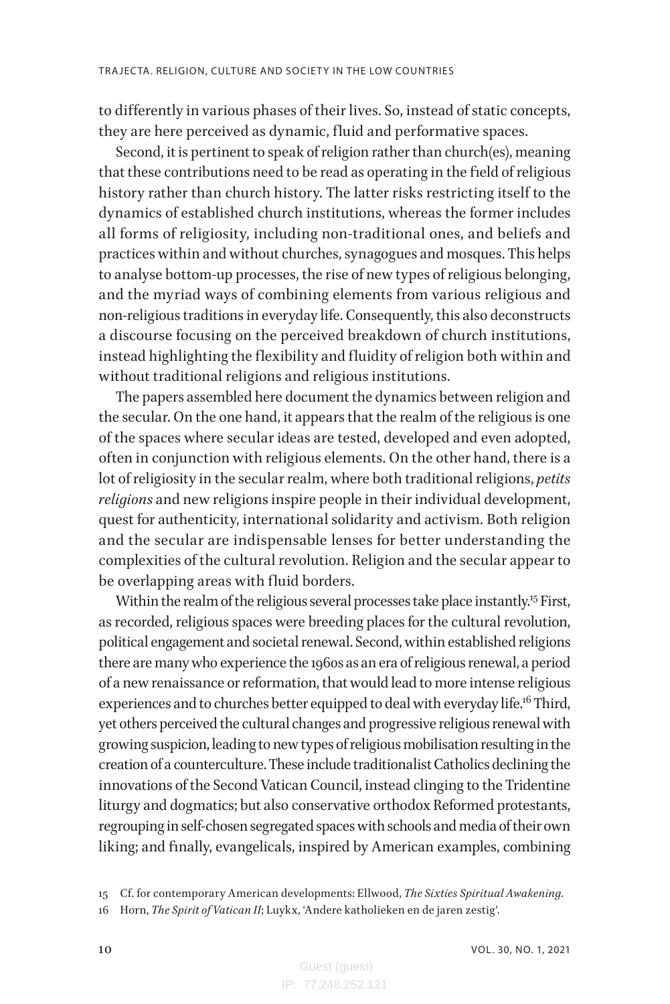to differently in various phases of their lives. So, instead of static concepts, they are here perceived as dynamic, fluid and performative spaces.

Second, it is pertinent to speak of religion rather than church(es), meaning that these contributions need to be read as operating in the field of religious history rather than church history. The latter risks restricting itself to the dynamics of established church institutions, whereas the former includes all forms of religiosity, including non-traditional ones, and beliefs and practices within and without churches, synagogues and mosques. This helps to analyse bottom-up processes, the rise of new types of religious belonging, and the myriad ways of combining elements from various religious and non-religious traditions in everyday life. Consequently, this also deconstructs a discourse focusing on the perceived breakdown of church institutions, instead highlighting the flexibility and fluidity of religion both within and without traditional religions and religious institutions.

The papers assembled here document the dynamics between religion and the secular. On the one hand, it appears that the realm of the religious is one of the spaces where secular ideas are tested, developed and even adopted, often in conjunction with religious elements. On the other hand, there is a lot of religiosity in the secular realm, where both traditional religions, *petits religions* and new religions inspire people in their individual development, quest for authenticity, international solidarity and activism. Both religion and the secular are indispensable lenses for better understanding the complexities of the cultural revolution. Religion and the secular appear to be overlapping areas with fluid borders.

Within the realm of the religious several processes take place instantly.<sup>15</sup> First, as recorded, religious spaces were breeding places for the cultural revolution, political engagement and societal renewal. Second, within established religions there are many who experience the 1960s as an era of religious renewal, a period of a new renaissance or reformation, that would lead to more intense religious experiences and to churches better equipped to deal with everyday life.<sup>16</sup> Third, yet others perceived the cultural changes and progressive religious renewal with growing suspicion, leading to new types of religious mobilisation resulting in the creation of a counterculture. These include traditionalist Catholics declining the innovations of the Second Vatican Council, instead clinging to the Tridentine liturgy and dogmatics; but also conservative orthodox Reformed protestants, regrouping in self-chosen segregated spaces with schools and media of their own liking; and finally, evangelicals, inspired by American examples, combining

16 Horn, *The Spirit of Vatican II*; Luykx, 'Andere katholieken en de jaren zestig'.

<sup>15</sup> Cf. for contemporary American developments: Ellwood, *The Sixties Spiritual Awakening.*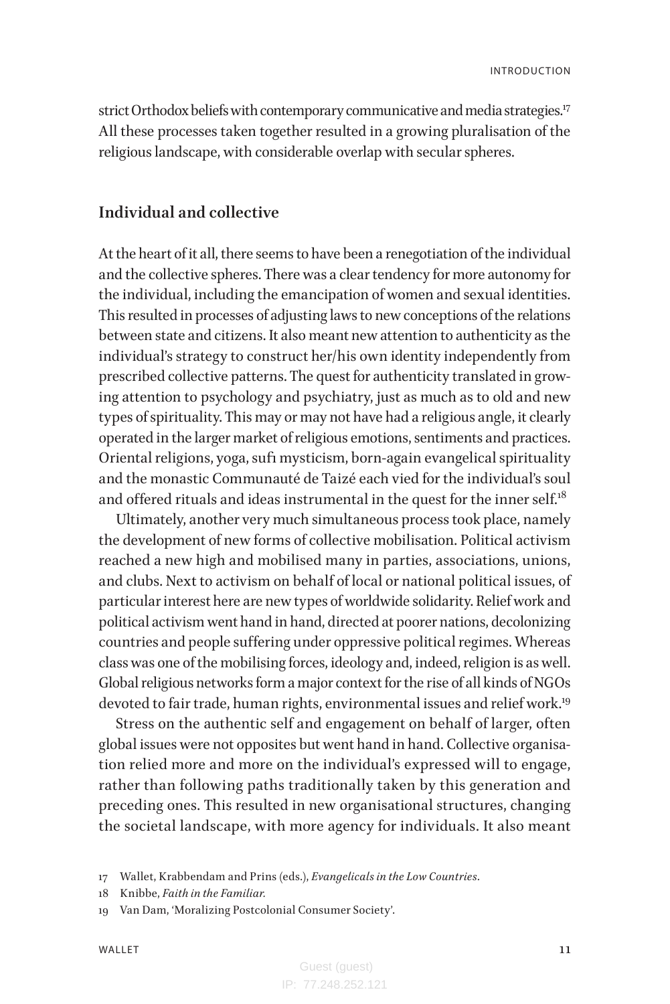strict Orthodox beliefs with contemporary communicative and media strategies.<sup>17</sup> All these processes taken together resulted in a growing pluralisation of the religious landscape, with considerable overlap with secular spheres.

#### **Individual and collective**

At the heart of it all, there seems to have been a renegotiation of the individual and the collective spheres. There was a clear tendency for more autonomy for the individual, including the emancipation of women and sexual identities. This resulted in processes of adjusting laws to new conceptions of the relations between state and citizens. It also meant new attention to authenticity as the individual's strategy to construct her/his own identity independently from prescribed collective patterns. The quest for authenticity translated in growing attention to psychology and psychiatry, just as much as to old and new types of spirituality. This may or may not have had a religious angle, it clearly operated in the larger market of religious emotions, sentiments and practices. Oriental religions, yoga, sufi mysticism, born-again evangelical spirituality and the monastic Communauté de Taizé each vied for the individual's soul and offered rituals and ideas instrumental in the quest for the inner self. $18$ 

Ultimately, another very much simultaneous process took place, namely the development of new forms of collective mobilisation. Political activism reached a new high and mobilised many in parties, associations, unions, and clubs. Next to activism on behalf of local or national political issues, of particular interest here are new types of worldwide solidarity. Relief work and political activism went hand in hand, directed at poorer nations, decolonizing countries and people suffering under oppressive political regimes. Whereas class was one of the mobilising forces, ideology and, indeed, religion is as well. Global religious networks form a major context for the rise of all kinds of NGOs devoted to fair trade, human rights, environmental issues and relief work.<sup>19</sup>

Stress on the authentic self and engagement on behalf of larger, often global issues were not opposites but went hand in hand. Collective organisation relied more and more on the individual's expressed will to engage, rather than following paths traditionally taken by this generation and preceding ones. This resulted in new organisational structures, changing the societal landscape, with more agency for individuals. It also meant

<sup>17</sup> Wallet, Krabbendam and Prins (eds.), *Evangelicals in the Low Countries*.

<sup>18</sup> Knibbe, *Faith in the Familiar.*

<sup>19</sup> Van Dam, 'Moralizing Postcolonial Consumer Society'.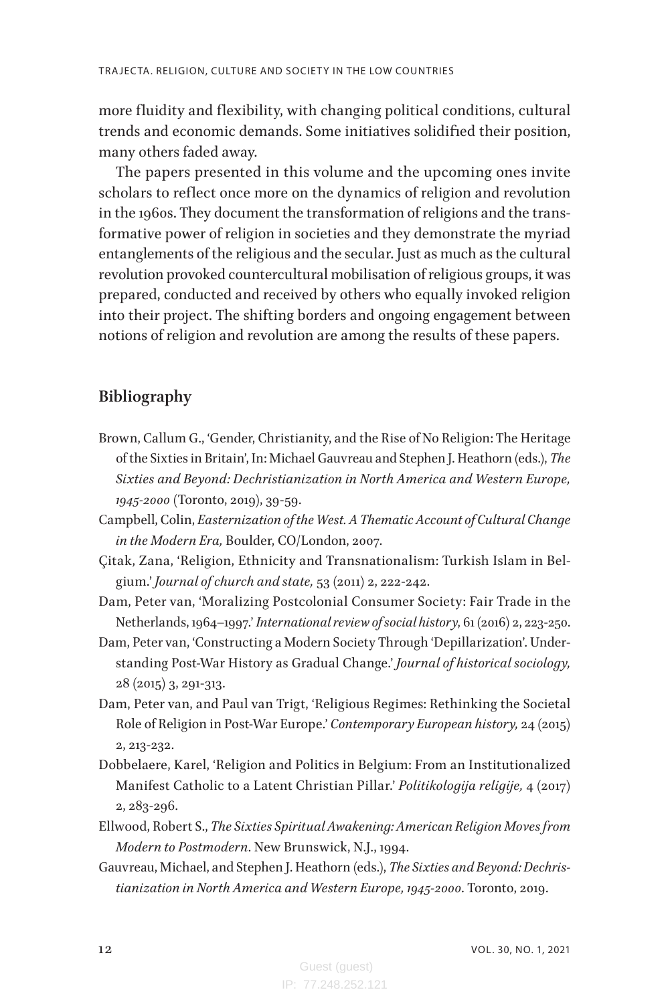more fluidity and flexibility, with changing political conditions, cultural trends and economic demands. Some initiatives solidified their position, many others faded away.

The papers presented in this volume and the upcoming ones invite scholars to reflect once more on the dynamics of religion and revolution in the 1960s. They document the transformation of religions and the transformative power of religion in societies and they demonstrate the myriad entanglements of the religious and the secular. Just as much as the cultural revolution provoked countercultural mobilisation of religious groups, it was prepared, conducted and received by others who equally invoked religion into their project. The shifting borders and ongoing engagement between notions of religion and revolution are among the results of these papers.

### **Bibliography**

- Brown, Callum G., 'Gender, Christianity, and the Rise of No Religion: The Heritage of the Sixties in Britain', In: Michael Gauvreau and Stephen J. Heathorn (eds.), *The Sixties and Beyond: Dechristianization in North America and Western Europe, 1945-2000* (Toronto, 2019), 39-59.
- Campbell, Colin, *Easternization of the West. A Thematic Account of Cultural Change in the Modern Era,* Boulder, CO/London, 2007.
- Çitak, Zana, 'Religion, Ethnicity and Transnationalism: Turkish Islam in Belgium.' *Journal of church and state,* 53 (2011) 2, 222-242.
- Dam, Peter van, 'Moralizing Postcolonial Consumer Society: Fair Trade in the Netherlands, 1964–1997.' *International review of social history*, 61 (2016) 2, 223-250.
- Dam, Peter van, 'Constructing a Modern Society Through 'Depillarization'. Understanding Post-War History as Gradual Change.' *Journal of historical sociology,* 28 (2015) 3, 291-313.
- Dam, Peter van, and Paul van Trigt, 'Religious Regimes: Rethinking the Societal Role of Religion in Post-War Europe.' *Contemporary European history,* 24 (2015) 2, 213-232.
- Dobbelaere, Karel, 'Religion and Politics in Belgium: From an Institutionalized Manifest Catholic to a Latent Christian Pillar.' *Politikologija religije,* 4 (2017) 2, 283-296.
- Ellwood, Robert S., *The Sixties Spiritual Awakening: American Religion Moves from Modern to Postmodern*. New Brunswick, N.J., 1994.
- Gauvreau, Michael, and Stephen J. Heathorn (eds.), *The Sixties and Beyond: Dechristianization in North America and Western Europe, 1945-2000*. Toronto, 2019.